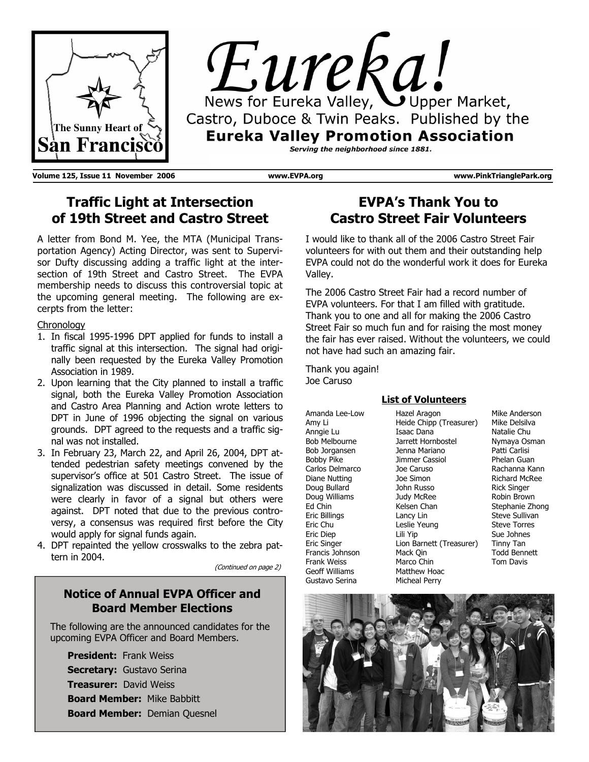



**Volume 125, Issue 11 November 2006 www.EVPA.org www.PinkTrianglePark.org** 

## **Traffic Light at Intersection of 19th Street and Castro Street**

A letter from Bond M. Yee, the MTA (Municipal Transportation Agency) Acting Director, was sent to Supervisor Dufty discussing adding a traffic light at the intersection of 19th Street and Castro Street. The EVPA membership needs to discuss this controversial topic at the upcoming general meeting. The following are excerpts from the letter:

## **Chronology**

- 1. In fiscal 1995-1996 DPT applied for funds to install a traffic signal at this intersection. The signal had originally been requested by the Eureka Valley Promotion Association in 1989.
- 2. Upon learning that the City planned to install a traffic signal, both the Eureka Valley Promotion Association and Castro Area Planning and Action wrote letters to DPT in June of 1996 objecting the signal on various grounds. DPT agreed to the requests and a traffic signal was not installed.
- 3. In February 23, March 22, and April 26, 2004, DPT attended pedestrian safety meetings convened by the supervisor's office at 501 Castro Street. The issue of signalization was discussed in detail. Some residents were clearly in favor of a signal but others were against. DPT noted that due to the previous controversy, a consensus was required first before the City would apply for signal funds again.
- 4. DPT repainted the yellow crosswalks to the zebra pattern in 2004.

(Continued on page 2)

## **Notice of Annual EVPA Officer and Board Member Elections**

The following are the announced candidates for the upcoming EVPA Officer and Board Members.

**President:** Frank Weiss **Secretary:** Gustavo Serina **Treasurer:** David Weiss **Board Member:** Mike Babbitt **Board Member:** Demian Quesnel

## **EVPA's Thank You to Castro Street Fair Volunteers**

I would like to thank all of the 2006 Castro Street Fair volunteers for with out them and their outstanding help EVPA could not do the wonderful work it does for Eureka Valley.

The 2006 Castro Street Fair had a record number of EVPA volunteers. For that I am filled with gratitude. Thank you to one and all for making the 2006 Castro Street Fair so much fun and for raising the most money the fair has ever raised. Without the volunteers, we could not have had such an amazing fair.

Thank you again! Joe Caruso

### Hazel Aragon **List of Volunteers**

Amanda Lee-Low Amy Li Anngie Lu Bob Melbourne Bob Jorgansen Bobby Pike Carlos Delmarco Diane Nutting Doug Bullard Doug Williams Ed Chin Eric Billings Eric Chu Eric Diep Eric Singer Francis Johnson Frank Weiss Geoff Williams Gustavo Serina

Heide Chipp (Treasurer) Isaac Dana Jarrett Hornbostel Jenna Mariano Jimmer Cassiol Joe Caruso Joe Simon John Russo Judy McRee Kelsen Chan Lancy Lin Leslie Yeung Lili Yip Lion Barnett (Treasurer) Mack Qin Marco Chin Matthew Hoac Micheal Perry

Mike Anderson Mike Delsilva Natalie Chu Nymaya Osman Patti Carlisi Phelan Guan Rachanna Kann Richard McRee Rick Singer Robin Brown Stephanie Zhong Steve Sullivan Steve Torres Sue Johnes Tinny Tan Todd Bennett Tom Davis

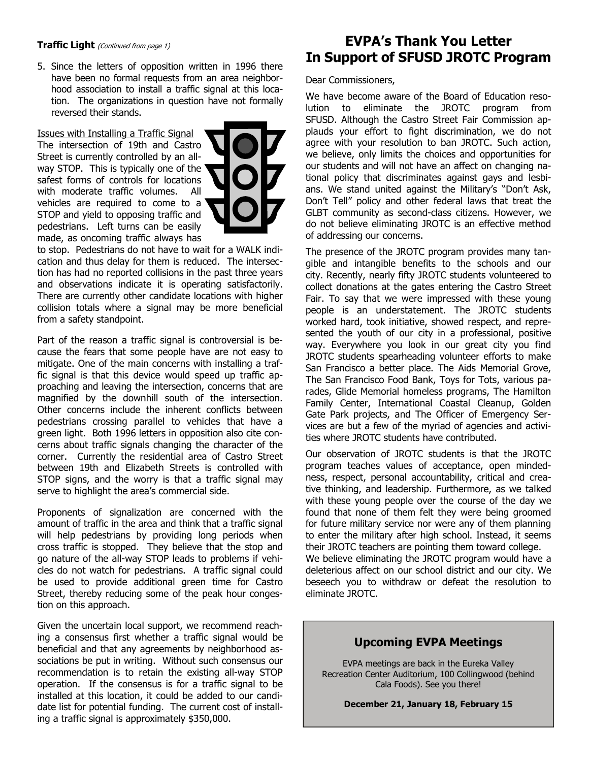### **Traffic Light** (Continued from page 1)

5. Since the letters of opposition written in 1996 there have been no formal requests from an area neighborhood association to install a traffic signal at this location. The organizations in question have not formally reversed their stands.

Issues with Installing a Traffic Signal The intersection of 19th and Castro Street is currently controlled by an allway STOP. This is typically one of the ' safest forms of controls for locations with moderate traffic volumes. All vehicles are required to come to a STOP and yield to opposing traffic and pedestrians. Left turns can be easily made, as oncoming traffic always has



to stop. Pedestrians do not have to wait for a WALK indication and thus delay for them is reduced. The intersection has had no reported collisions in the past three years and observations indicate it is operating satisfactorily. There are currently other candidate locations with higher collision totals where a signal may be more beneficial from a safety standpoint.

Part of the reason a traffic signal is controversial is because the fears that some people have are not easy to mitigate. One of the main concerns with installing a traffic signal is that this device would speed up traffic approaching and leaving the intersection, concerns that are magnified by the downhill south of the intersection. Other concerns include the inherent conflicts between pedestrians crossing parallel to vehicles that have a green light. Both 1996 letters in opposition also cite concerns about traffic signals changing the character of the corner. Currently the residential area of Castro Street between 19th and Elizabeth Streets is controlled with STOP signs, and the worry is that a traffic signal may serve to highlight the area's commercial side.

Proponents of signalization are concerned with the amount of traffic in the area and think that a traffic signal will help pedestrians by providing long periods when cross traffic is stopped. They believe that the stop and go nature of the all-way STOP leads to problems if vehicles do not watch for pedestrians. A traffic signal could be used to provide additional green time for Castro Street, thereby reducing some of the peak hour congestion on this approach.

Given the uncertain local support, we recommend reaching a consensus first whether a traffic signal would be beneficial and that any agreements by neighborhood associations be put in writing. Without such consensus our recommendation is to retain the existing all-way STOP operation. If the consensus is for a traffic signal to be installed at this location, it could be added to our candidate list for potential funding. The current cost of installing a traffic signal is approximately \$350,000.

## **EVPA's Thank You Letter In Support of SFUSD JROTC Program**

#### Dear Commissioners,

We have become aware of the Board of Education resolution to eliminate the JROTC program from SFUSD. Although the Castro Street Fair Commission applauds your effort to fight discrimination, we do not agree with your resolution to ban JROTC. Such action, we believe, only limits the choices and opportunities for our students and will not have an affect on changing national policy that discriminates against gays and lesbians. We stand united against the Military's "Don't Ask, Don't Tell" policy and other federal laws that treat the GLBT community as second-class citizens. However, we do not believe eliminating JROTC is an effective method of addressing our concerns.

The presence of the JROTC program provides many tangible and intangible benefits to the schools and our city. Recently, nearly fifty JROTC students volunteered to collect donations at the gates entering the Castro Street Fair. To say that we were impressed with these young people is an understatement. The JROTC students worked hard, took initiative, showed respect, and represented the youth of our city in a professional, positive way. Everywhere you look in our great city you find JROTC students spearheading volunteer efforts to make San Francisco a better place. The Aids Memorial Grove, The San Francisco Food Bank, Toys for Tots, various parades, Glide Memorial homeless programs, The Hamilton Family Center, International Coastal Cleanup, Golden Gate Park projects, and The Officer of Emergency Services are but a few of the myriad of agencies and activities where JROTC students have contributed.

Our observation of JROTC students is that the JROTC program teaches values of acceptance, open mindedness, respect, personal accountability, critical and creative thinking, and leadership. Furthermore, as we talked with these young people over the course of the day we found that none of them felt they were being groomed for future military service nor were any of them planning to enter the military after high school. Instead, it seems their JROTC teachers are pointing them toward college. We believe eliminating the JROTC program would have a deleterious affect on our school district and our city. We beseech you to withdraw or defeat the resolution to eliminate JROTC.

## **Upcoming EVPA Meetings**

EVPA meetings are back in the Eureka Valley Recreation Center Auditorium, 100 Collingwood (behind Cala Foods). See you there!

**December 21, January 18, February 15**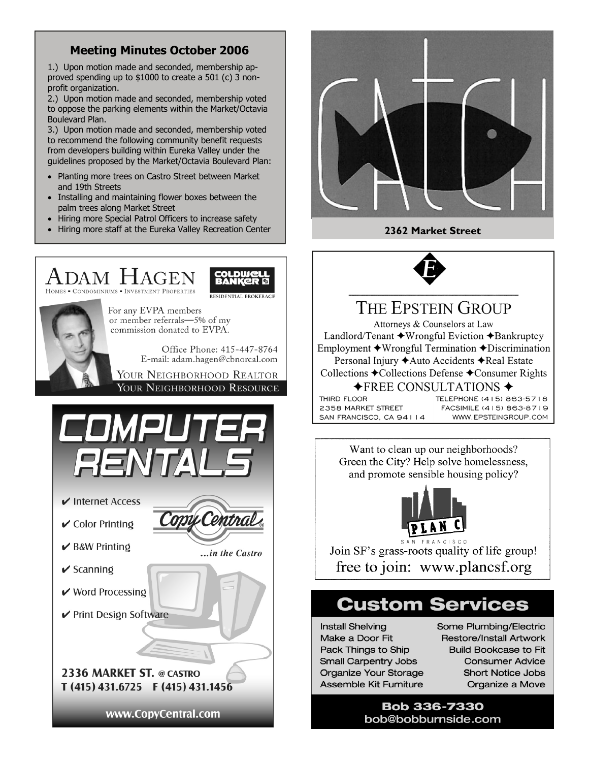## **Meeting Minutes October 2006**

1.) Upon motion made and seconded, membership approved spending up to \$1000 to create a 501 (c) 3 nonprofit organization.

2.) Upon motion made and seconded, membership voted to oppose the parking elements within the Market/Octavia Boulevard Plan.

3.) Upon motion made and seconded, membership voted to recommend the following community benefit requests from developers building within Eureka Valley under the guidelines proposed by the Market/Octavia Boulevard Plan:

- Planting more trees on Castro Street between Market and 19th Streets
- Installing and maintaining flower boxes between the palm trees along Market Street
- Hiring more Special Patrol Officers to increase safety
- Hiring more staff at the Eureka Valley Recreation Center **2362 Market Street**







# THE EPSTEIN GROUP

Attorneys & Counselors at Law Landlord/Tenant ◆Wrongful Eviction ◆Bankruptcy Employment ◆Wrongful Termination ◆Discrimination Personal Injury ◆ Auto Accidents ◆ Real Estate Collections ◆Collections Defense ◆Consumer Rights  $\blacklozenge$ FREE CONSULTATIONS  $\blacklozenge$ 

THIRD FLOOR 2358 MARKET STREET SAN FRANCISCO, CA 94114 TELEPHONE (415) 863-5718 FACSIMILE (415) 863-8719 WWW.EPSTEINGROUP.COM

Want to clean up our neighborhoods? Green the City? Help solve homelessness, and promote sensible housing policy?



Join SF's grass-roots quality of life group! free to join: www.plancsf.org

# **Custom Services**

**Install Shelving** Make a Door Fit Pack Things to Ship **Small Carpentry Jobs** Organize Your Storage Assemble Kit Furniture

Some Plumbing/Electric **Restore/Install Artwork Build Bookcase to Fit Consumer Advice Short Notice Jobs** Organize a Move

**Bob 336-7330** bob@bobburnside.com